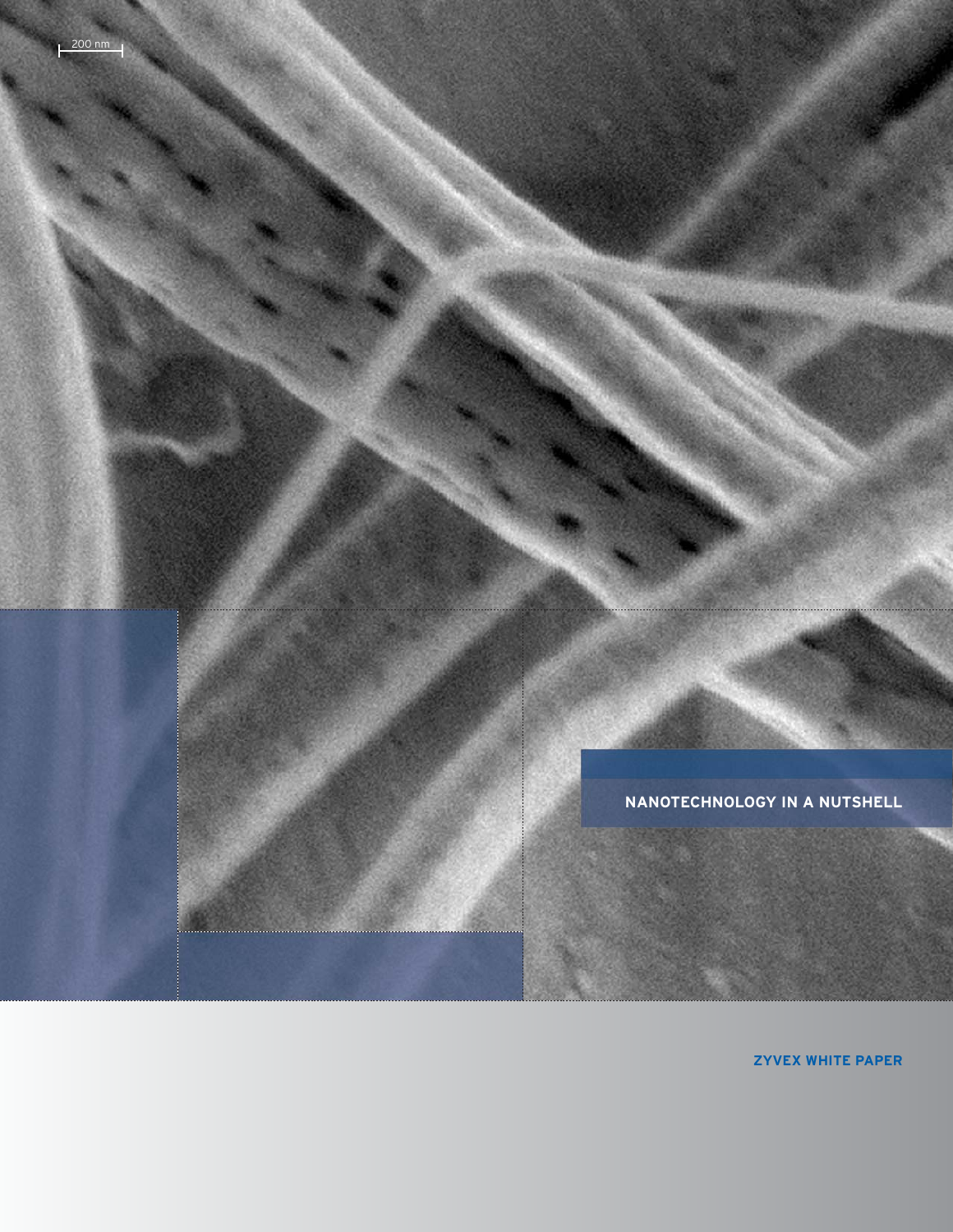NANOTECHNOLOGY IN A NUTSHELL

 $200 \text{ nm}$ 

**ZYVEX WHITE PAPER**